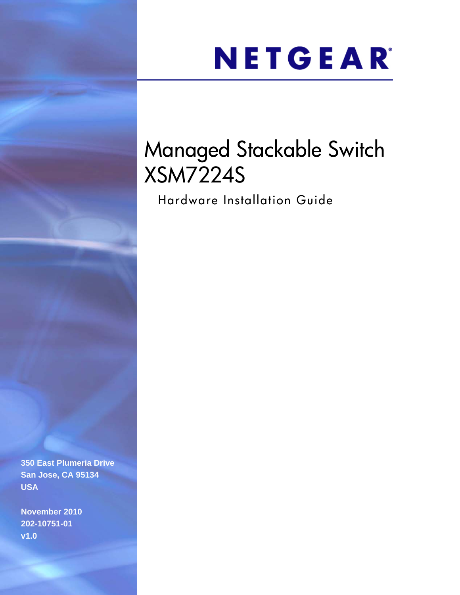# NETGEAR®

# Managed Stackable Switch XSM7224S

Hardware Installation Guide

**350 East Plumeria Drive San Jose, CA 95134 USA**

**November 2010 202-10751-01 v1.0**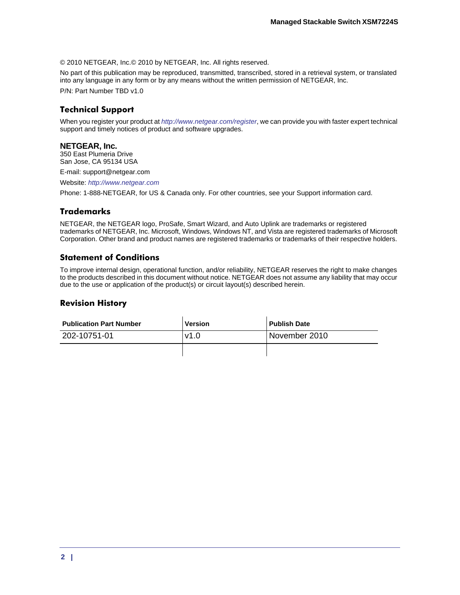© 2010 NETGEAR, Inc.© 2010 by NETGEAR, Inc. All rights reserved.

No part of this publication may be reproduced, transmitted, transcribed, stored in a retrieval system, or translated into any language in any form or by any means without the written permission of NETGEAR, Inc.

P/N: Part Number TBD v1.0

#### **Technical Support**

When you register your product at *<http://www.netgear.com/register>*, we can provide you with faster expert technical support and timely notices of product and software upgrades.

#### **NETGEAR, Inc.**

350 East Plumeria Drive San Jose, CA 95134 USA

E-mail: support@netgear.com

Website: *<http://www.netgear.com>*

Phone: 1-888-NETGEAR, for US & Canada only. For other countries, see your Support information card.

#### **Trademarks**

NETGEAR, the NETGEAR logo, ProSafe, Smart Wizard, and Auto Uplink are trademarks or registered trademarks of NETGEAR, Inc. Microsoft, Windows, Windows NT, and Vista are registered trademarks of Microsoft Corporation. Other brand and product names are registered trademarks or trademarks of their respective holders.

#### **Statement of Conditions**

To improve internal design, operational function, and/or reliability, NETGEAR reserves the right to make changes to the products described in this document without notice. NETGEAR does not assume any liability that may occur due to the use or application of the product(s) or circuit layout(s) described herein.

#### **Revision History**

| <b>Publication Part Number</b> | <b>Version</b> | <b>Publish Date</b> |
|--------------------------------|----------------|---------------------|
| 202-10751-01                   | v1.0           | November 2010       |
|                                |                |                     |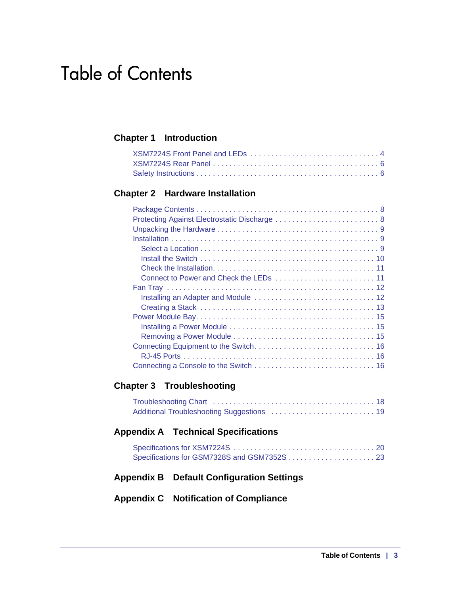# Table of Contents

## **[Chapter 1 Introduction](#page-4-0)**

### **[Chapter 2 Hardware Installation](#page-8-0)**

# **[Chapter 3 Troubleshooting](#page-20-0)**

### **[Appendix A Technical Specifications](#page-22-0)**

# **[Appendix B Default Configuration Settings](#page-26-0)**

## **[Appendix C Notification of Compliance](#page-28-0)**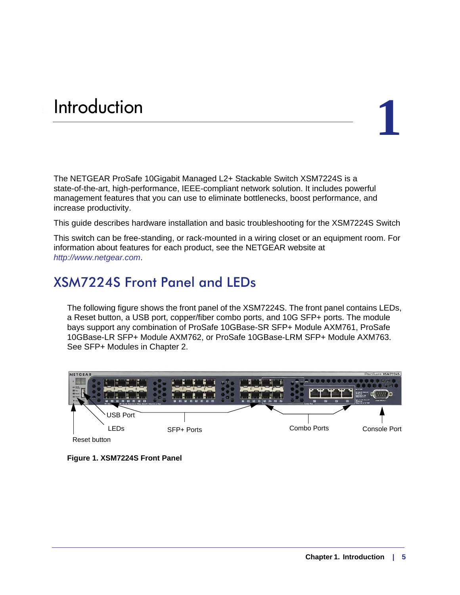# <span id="page-4-0"></span>**1.** Introduction **1. Introduction**

### The NETGEAR ProSafe 10Gigabit Managed L2+ Stackable Switch XSM7224S is a state-of-the-art, high-performance, IEEE-compliant network solution. It includes powerful management features that you can use to eliminate bottlenecks, boost performance, and increase productivity.

This guide describes hardware installation and basic troubleshooting for the XSM7224S Switch

This switch can be free-standing, or rack-mounted in a wiring closet or an equipment room. For information about features for each product, see the NETGEAR website at *http://www.netgear.com*.

# <span id="page-4-1"></span>XSM7224S Front Panel and LEDs

The following figure shows the front panel of the XSM7224S. The front panel contains LEDs, a Reset button, a USB port, copper/fiber combo ports, and 10G SFP+ ports. The module bays support any combination of ProSafe 10GBase-SR SFP+ Module AXM761, ProSafe 10GBase-LR SFP+ Module AXM762, or ProSafe 10GBase-LRM SFP+ Module AXM763. See SFP+ Modules in Chapter 2.



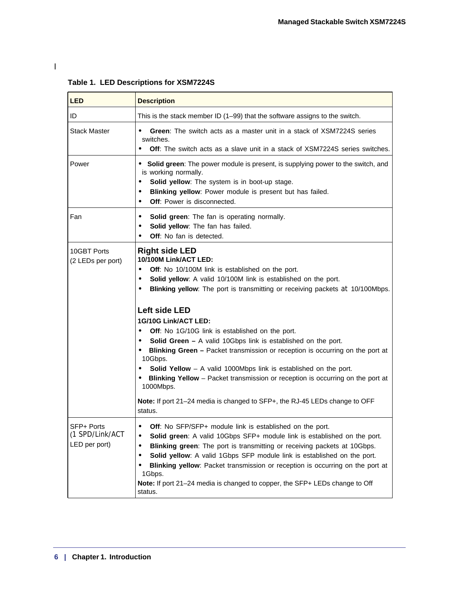| <b>LED</b>                                     | <b>Description</b>                                                                                                                                                                                                                                                                                                                                                                                                                                                                                                                                                                                                                                                                                                                                                                                      |
|------------------------------------------------|---------------------------------------------------------------------------------------------------------------------------------------------------------------------------------------------------------------------------------------------------------------------------------------------------------------------------------------------------------------------------------------------------------------------------------------------------------------------------------------------------------------------------------------------------------------------------------------------------------------------------------------------------------------------------------------------------------------------------------------------------------------------------------------------------------|
| ID                                             | This is the stack member ID (1-99) that the software assigns to the switch.                                                                                                                                                                                                                                                                                                                                                                                                                                                                                                                                                                                                                                                                                                                             |
| Stack Master                                   | <b>Green:</b> The switch acts as a master unit in a stack of XSM7224S series<br>switches.<br><b>Off:</b> The switch acts as a slave unit in a stack of XSM7224S series switches.                                                                                                                                                                                                                                                                                                                                                                                                                                                                                                                                                                                                                        |
| Power                                          | • Solid green: The power module is present, is supplying power to the switch, and<br>is working normally.<br>Solid yellow: The system is in boot-up stage.<br>Blinking yellow: Power module is present but has failed.<br>٠<br><b>Off:</b> Power is disconnected.<br>$\bullet$                                                                                                                                                                                                                                                                                                                                                                                                                                                                                                                          |
| Fan                                            | Solid green: The fan is operating normally.<br>Solid yellow: The fan has failed.<br><b>Off:</b> No fan is detected.                                                                                                                                                                                                                                                                                                                                                                                                                                                                                                                                                                                                                                                                                     |
| 10GBT Ports<br>(2 LEDs per port)               | <b>Right side LED</b><br>10/100M Link/ACT LED:<br>Off: No 10/100M link is established on the port.<br>Solid yellow: A valid 10/100M link is established on the port.<br>Blinking yellow: The port is transmitting or receiving packets at 10/100Mbps.<br>Left side LED<br>1G/10G Link/ACT LED:<br><b>Off:</b> No 1G/10G link is established on the port.<br>$\bullet$<br>Solid Green - A valid 10Gbps link is established on the port.<br>Blinking Green - Packet transmission or reception is occurring on the port at<br>10Gbps.<br><b>Solid Yellow</b> $-$ A valid 1000Mbps link is established on the port.<br>Blinking Yellow - Packet transmission or reception is occurring on the port at<br>1000Mbps.<br>Note: If port 21-24 media is changed to SFP+, the RJ-45 LEDs change to OFF<br>status. |
| SFP+ Ports<br>(1 SPD/Link/ACT<br>LED per port) | Off: No SFP/SFP+ module link is established on the port.<br>$\bullet$<br>Solid green: A valid 10Gbps SFP+ module link is established on the port.<br>Blinking green: The port is transmitting or receiving packets at 10Gbps.<br>Solid yellow: A valid 1Gbps SFP module link is established on the port.<br>Blinking yellow: Packet transmission or reception is occurring on the port at<br>1Gbps.<br>Note: If port 21-24 media is changed to copper, the SFP+ LEDs change to Off<br>status.                                                                                                                                                                                                                                                                                                           |

**Table 1. LED Descriptions for XSM7224S** 

l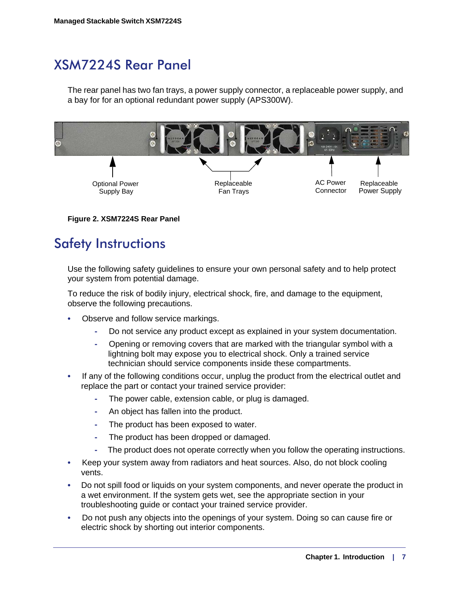# <span id="page-6-0"></span>XSM7224S Rear Panel

The rear panel has two fan trays, a power supply connector, a replaceable power supply, and a bay for for an optional redundant power supply (APS300W).



**Figure 2. XSM7224S Rear Panel**

# <span id="page-6-1"></span>Safety Instructions

Use the following safety guidelines to ensure your own personal safety and to help protect your system from potential damage.

To reduce the risk of bodily injury, electrical shock, fire, and damage to the equipment, observe the following precautions.

- Observe and follow service markings.
	- Do not service any product except as explained in your system documentation.
	- Opening or removing covers that are marked with the triangular symbol with a lightning bolt may expose you to electrical shock. Only a trained service technician should service components inside these compartments.
- If any of the following conditions occur, unplug the product from the electrical outlet and replace the part or contact your trained service provider:
	- The power cable, extension cable, or plug is damaged.
	- An object has fallen into the product.
	- The product has been exposed to water.
	- The product has been dropped or damaged.
	- The product does not operate correctly when you follow the operating instructions.
- Keep your system away from radiators and heat sources. Also, do not block cooling vents.
- Do not spill food or liquids on your system components, and never operate the product in a wet environment. If the system gets wet, see the appropriate section in your troubleshooting guide or contact your trained service provider.
- Do not push any objects into the openings of your system. Doing so can cause fire or electric shock by shorting out interior components.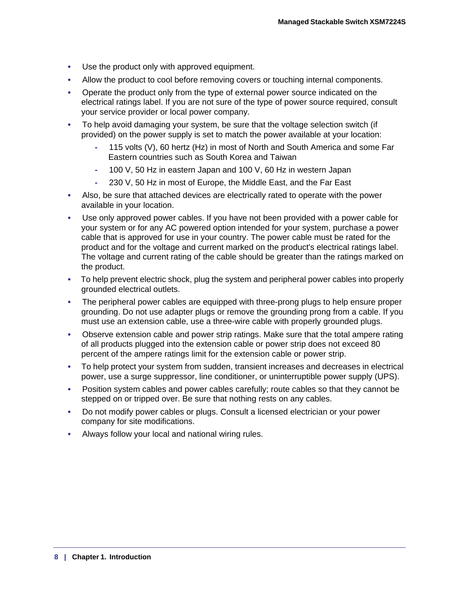- Use the product only with approved equipment.
- Allow the product to cool before removing covers or touching internal components.
- Operate the product only from the type of external power source indicated on the electrical ratings label. If you are not sure of the type of power source required, consult your service provider or local power company.
- To help avoid damaging your system, be sure that the voltage selection switch (if provided) on the power supply is set to match the power available at your location:
	- 115 volts (V), 60 hertz (Hz) in most of North and South America and some Far Eastern countries such as South Korea and Taiwan
	- 100 V, 50 Hz in eastern Japan and 100 V, 60 Hz in western Japan
	- 230 V, 50 Hz in most of Europe, the Middle East, and the Far East
- Also, be sure that attached devices are electrically rated to operate with the power available in your location.
- Use only approved power cables. If you have not been provided with a power cable for your system or for any AC powered option intended for your system, purchase a power cable that is approved for use in your country. The power cable must be rated for the product and for the voltage and current marked on the product's electrical ratings label. The voltage and current rating of the cable should be greater than the ratings marked on the product.
- To help prevent electric shock, plug the system and peripheral power cables into properly grounded electrical outlets.
- The peripheral power cables are equipped with three-prong plugs to help ensure proper grounding. Do not use adapter plugs or remove the grounding prong from a cable. If you must use an extension cable, use a three-wire cable with properly grounded plugs.
- Observe extension cable and power strip ratings. Make sure that the total ampere rating of all products plugged into the extension cable or power strip does not exceed 80 percent of the ampere ratings limit for the extension cable or power strip.
- To help protect your system from sudden, transient increases and decreases in electrical power, use a surge suppressor, line conditioner, or uninterruptible power supply (UPS).
- Position system cables and power cables carefully; route cables so that they cannot be stepped on or tripped over. Be sure that nothing rests on any cables.
- Do not modify power cables or plugs. Consult a licensed electrician or your power company for site modifications.
- Always follow your local and national wiring rules.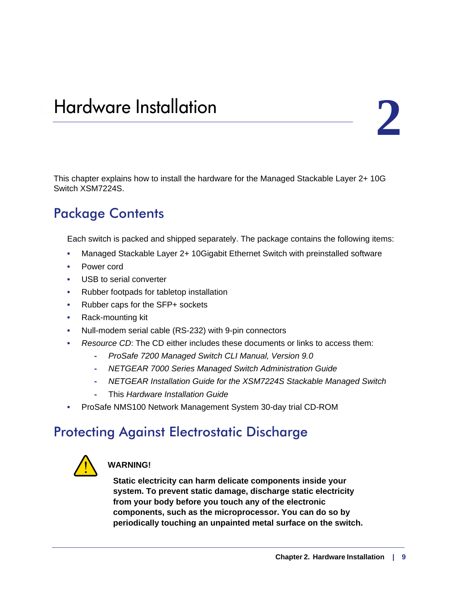# <span id="page-8-0"></span>**2. Hardware Installation**

This chapter explains how to install the hardware for the Managed Stackable Layer 2+ 10G Switch XSM7224S.

# <span id="page-8-1"></span>Package Contents

Each switch is packed and shipped separately. The package contains the following items:

- Managed Stackable Layer 2+ 10Gigabit Ethernet Switch with preinstalled software
- Power cord
- USB to serial converter
- Rubber footpads for tabletop installation
- Rubber caps for the SFP+ sockets
- Rack-mounting kit
- Null-modem serial cable (RS-232) with 9-pin connectors
- *Resource CD*: The CD either includes these documents or links to access them:
	- *ProSafe 7200 Managed Switch CLI Manual, Version 9.0*
	- *NETGEAR 7000 Series Managed Switch Administration Guide*
	- *NETGEAR Installation Guide for the XSM7224S Stackable Managed Switch*
	- This *Hardware Installation Guide*
- ProSafe NMS100 Network Management System 30-day trial CD-ROM

# <span id="page-8-2"></span>Protecting Against Electrostatic Discharge



### **WARNING!**

**Static electricity can harm delicate components inside your system. To prevent static damage, discharge static electricity from your body before you touch any of the electronic components, such as the microprocessor. You can do so by periodically touching an unpainted metal surface on the switch.**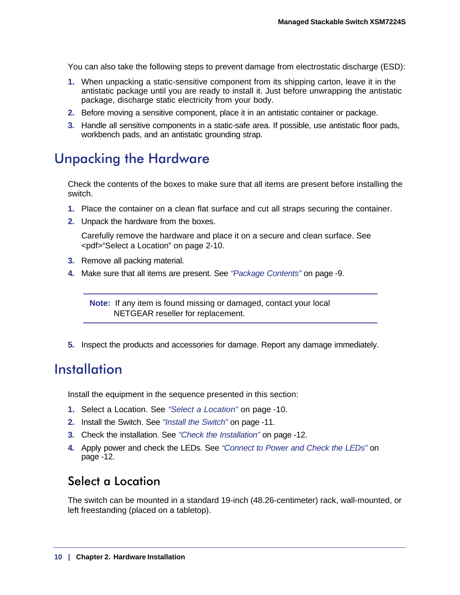You can also take the following steps to prevent damage from electrostatic discharge (ESD):

- **1.** When unpacking a static-sensitive component from its shipping carton, leave it in the antistatic package until you are ready to install it. Just before unwrapping the antistatic package, discharge static electricity from your body.
- **2.** Before moving a sensitive component, place it in an antistatic container or package.
- **3.** Handle all sensitive components in a static-safe area. If possible, use antistatic floor pads, workbench pads, and an antistatic grounding strap.

# <span id="page-9-0"></span>Unpacking the Hardware

Check the contents of the boxes to make sure that all items are present before installing the switch.

- **1.** Place the container on a clean flat surface and cut all straps securing the container.
- **2.** Unpack the hardware from the boxes.

Carefully remove the hardware and place it on a secure and clean surface. See [<pdf>"Select a Location" on page](#page-9-2) 2-10.

- **3.** Remove all packing material.
- **4.** Make sure that all items are present. See *["Package Contents"](#page-8-1)* on page -9.

**Note:** If any item is found missing or damaged, contact your local NETGEAR reseller for replacement.

**5.** Inspect the products and accessories for damage. Report any damage immediately.

# <span id="page-9-1"></span>Installation

Install the equipment in the sequence presented in this section:

- **1.** Select a Location. See *["Select a Location"](#page-9-2)* on page -10.
- **2.** Install the Switch. See *["Install the Switch"](#page-10-0)* on page -11.
- **3.** Check the installation. See *["Check the Installation"](#page-11-0)* on page -12.
- **4.** Apply power and check the LEDs. See *["Connect to Power and Check the LEDs"](#page-11-1)* on [page](#page-11-1) -12.

# <span id="page-9-2"></span>Select a Location

The switch can be mounted in a standard 19-inch (48.26-centimeter) rack, wall-mounted, or left freestanding (placed on a tabletop).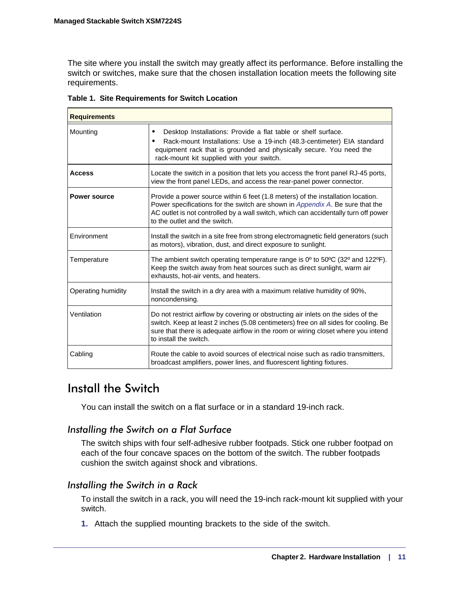The site where you install the switch may greatly affect its performance. Before installing the switch or switches, make sure that the chosen installation location meets the following site requirements.

| <b>Requirements</b> |                                                                                                                                                                                                                                                                                          |
|---------------------|------------------------------------------------------------------------------------------------------------------------------------------------------------------------------------------------------------------------------------------------------------------------------------------|
| Mounting            | Desktop Installations: Provide a flat table or shelf surface.<br>$\bullet$<br>Rack-mount Installations: Use a 19-inch (48.3-centimeter) EIA standard<br>equipment rack that is grounded and physically secure. You need the<br>rack-mount kit supplied with your switch.                 |
| <b>Access</b>       | Locate the switch in a position that lets you access the front panel RJ-45 ports,<br>view the front panel LEDs, and access the rear-panel power connector.                                                                                                                               |
| <b>Power source</b> | Provide a power source within 6 feet (1.8 meters) of the installation location.<br>Power specifications for the switch are shown in Appendix A. Be sure that the<br>AC outlet is not controlled by a wall switch, which can accidentally turn off power<br>to the outlet and the switch. |
| Environment         | Install the switch in a site free from strong electromagnetic field generators (such<br>as motors), vibration, dust, and direct exposure to sunlight.                                                                                                                                    |
| Temperature         | The ambient switch operating temperature range is $0^{\circ}$ to $50^{\circ}$ C (32 $^{\circ}$ and 122 $^{\circ}$ F).<br>Keep the switch away from heat sources such as direct sunlight, warm air<br>exhausts, hot-air vents, and heaters.                                               |
| Operating humidity  | Install the switch in a dry area with a maximum relative humidity of 90%,<br>noncondensing.                                                                                                                                                                                              |
| Ventilation         | Do not restrict airflow by covering or obstructing air inlets on the sides of the<br>switch. Keep at least 2 inches (5.08 centimeters) free on all sides for cooling. Be<br>sure that there is adequate airflow in the room or wiring closet where you intend<br>to install the switch.  |
| Cabling             | Route the cable to avoid sources of electrical noise such as radio transmitters.<br>broadcast amplifiers, power lines, and fluorescent lighting fixtures.                                                                                                                                |

**Table 1. Site Requirements for Switch Location**

# <span id="page-10-0"></span>Install the Switch

You can install the switch on a flat surface or in a standard 19-inch rack.

*Installing the Switch on a Flat Surface* The switch ships with four self-adhesive rubber footpads. Stick one rubber footpad on each of the four concave spaces on the bottom of the switch. The rubber footpads cushion the switch against shock and vibrations.

*Installing the Switch in a Rack*  To install the switch in a rack, you will need the 19-inch rack-mount kit supplied with your switch.

**1.** Attach the supplied mounting brackets to the side of the switch.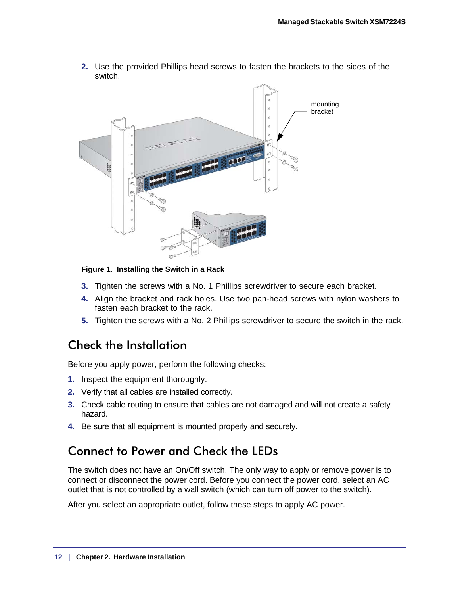- mounting bracket
- **2.** Use the provided Phillips head screws to fasten the brackets to the sides of the switch.

#### **Figure 1. Installing the Switch in a Rack**

- **3.** Tighten the screws with a No. 1 Phillips screwdriver to secure each bracket.
- **4.** Align the bracket and rack holes. Use two pan-head screws with nylon washers to fasten each bracket to the rack.
- **5.** Tighten the screws with a No. 2 Phillips screwdriver to secure the switch in the rack.

# <span id="page-11-0"></span>Check the Installation

Before you apply power, perform the following checks:

- **1.** Inspect the equipment thoroughly.
- **2.** Verify that all cables are installed correctly.
- **3.** Check cable routing to ensure that cables are not damaged and will not create a safety hazard.
- **4.** Be sure that all equipment is mounted properly and securely.

# <span id="page-11-1"></span>Connect to Power and Check the LEDs

The switch does not have an On/Off switch. The only way to apply or remove power is to connect or disconnect the power cord. Before you connect the power cord, select an AC outlet that is not controlled by a wall switch (which can turn off power to the switch).

After you select an appropriate outlet, follow these steps to apply AC power.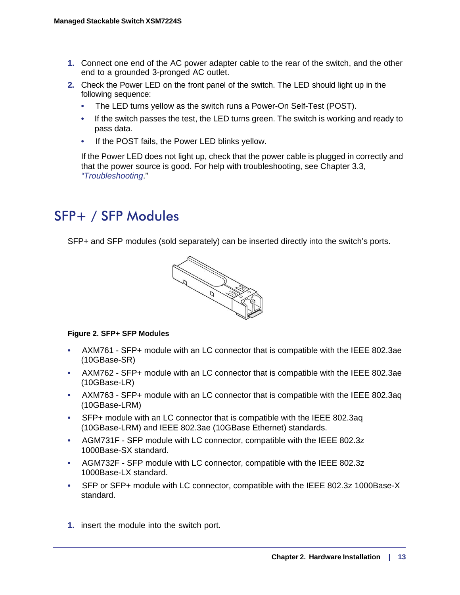- **1.** Connect one end of the AC power adapter cable to the rear of the switch, and the other end to a grounded 3-pronged AC outlet.
- **2.** Check the Power LED on the front panel of the switch. The LED should light up in the following sequence:
	- The LED turns yellow as the switch runs a Power-On Self-Test (POST).
	- If the switch passes the test, the LED turns green. The switch is working and ready to pass data.
	- If the POST fails, the Power LED blinks yellow.

If the Power LED does not light up, check that the power cable is plugged in correctly and that the power source is good. For help with troubleshooting, see [Chapter 3.3,](#page-20-2)  *["Troubleshooting](#page-20-2)*."

# SFP+ / SFP Modules

SFP+ and SFP modules (sold separately) can be inserted directly into the switch's ports.



#### **Figure 2. SFP+ SFP Modules**

- AXM761 SFP+ module with an LC connector that is compatible with the IEEE 802.3ae (10GBase-SR)
- AXM762 SFP+ module with an LC connector that is compatible with the IEEE 802.3ae (10GBase-LR)
- AXM763 SFP+ module with an LC connector that is compatible with the IEEE 802.3aq (10GBase-LRM)
- SFP+ module with an LC connector that is compatible with the IEEE 802.3aq (10GBase-LRM) and IEEE 802.3ae (10GBase Ethernet) standards.
- AGM731F SFP module with LC connector, compatible with the IEEE 802.3z 1000Base-SX standard.
- AGM732F SFP module with LC connector, compatible with the IEEE 802.3z 1000Base-LX standard.
- SFP or SFP+ module with LC connector, compatible with the IEEE 802.3z 1000Base-X standard.
- **1.** insert the module into the switch port.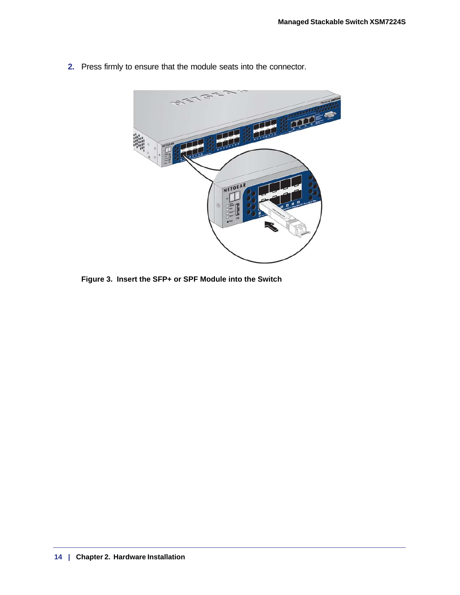

**2.** Press firmly to ensure that the module seats into the connector.

**Figure 3. Insert the SFP+ or SPF Module into the Switch**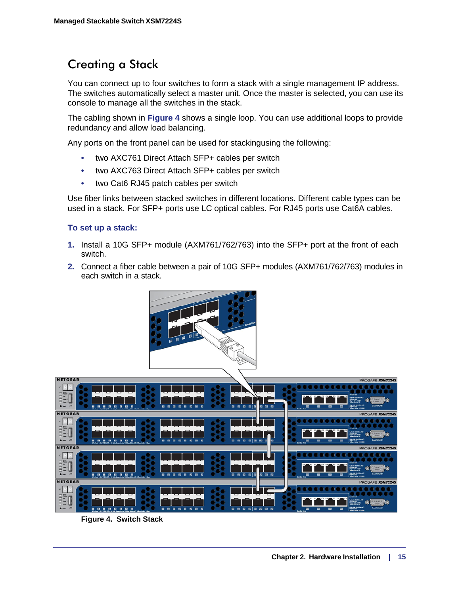# <span id="page-14-0"></span>Creating a Stack

You can connect up to four switches to form a stack with a single management IP address. The switches automatically select a master unit. Once the master is selected, you can use its console to manage all the switches in the stack.

The cabling shown in **[Figure 4](#page-14-1)** shows a single loop. You can use additional loops to provide redundancy and allow load balancing.

Any ports on the front panel can be used for stackingusing the following:

- two AXC761 Direct Attach SFP+ cables per switch
- two AXC763 Direct Attach SFP+ cables per switch
- two Cat6 RJ45 patch cables per switch

Use fiber links between stacked switches in different locations. Different cable types can be used in a stack. For SFP+ ports use LC optical cables. For RJ45 ports use Cat6A cables.

#### **To set up a stack:**

- **1.** Install a 10G SFP+ module (AXM761/762/763) into the SFP+ port at the front of each switch.
- **2.** Connect a fiber cable between a pair of 10G SFP+ modules (AXM761/762/763) modules in each switch in a stack.



<span id="page-14-1"></span>**Figure 4. Switch Stack**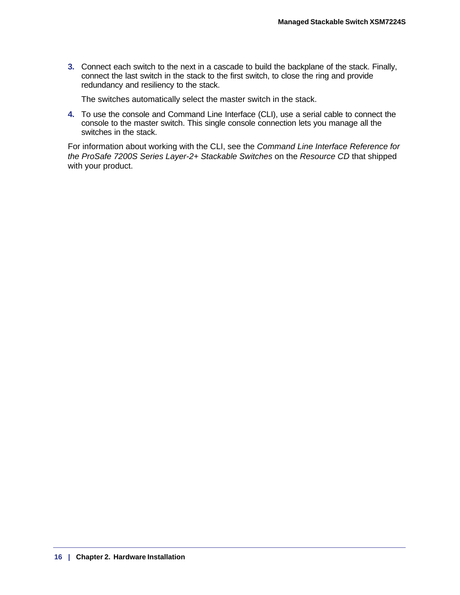**3.** Connect each switch to the next in a cascade to build the backplane of the stack. Finally, connect the last switch in the stack to the first switch, to close the ring and provide redundancy and resiliency to the stack.

The switches automatically select the master switch in the stack.

**4.** To use the console and Command Line Interface (CLI), use a serial cable to connect the console to the master switch. This single console connection lets you manage all the switches in the stack.

For information about working with the CLI, see the *Command Line Interface Reference for the ProSafe 7200S Series Layer-2+ Stackable Switches* on the *Resource CD* that shipped with your product.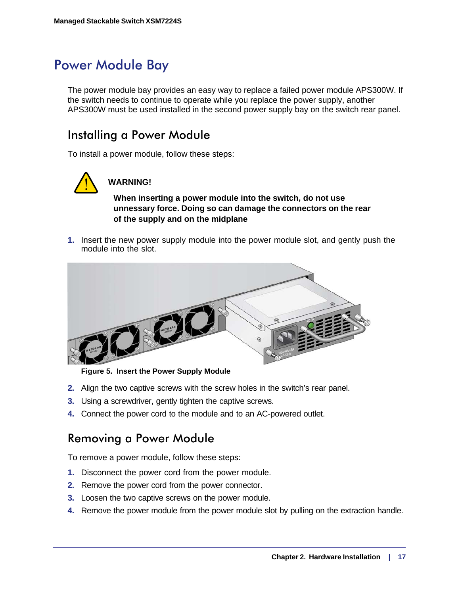# Power Module Bay

The power module bay provides an easy way to replace a failed power module APS300W. If the switch needs to continue to operate while you replace the power supply, another APS300W must be used installed in the second power supply bay on the switch rear panel.

# <span id="page-16-0"></span>Installing a Power Module

To install a power module, follow these steps:



# **WARNING!**

**When inserting a power module into the switch, do not use unnessary force. Doing so can damage the connectors on the rear of the supply and on the midplane**

**1.** Insert the new power supply module into the power module slot, and gently push the module into the slot.



**Figure 5. Insert the Power Supply Module**

- **2.** Align the two captive screws with the screw holes in the switch's rear panel.
- **3.** Using a screwdriver, gently tighten the captive screws.
- **4.** Connect the power cord to the module and to an AC-powered outlet.

# <span id="page-16-1"></span>Removing a Power Module

To remove a power module, follow these steps:

- **1.** Disconnect the power cord from the power module.
- **2.** Remove the power cord from the power connector.
- **3.** Loosen the two captive screws on the power module.
- **4.** Remove the power module from the power module slot by pulling on the extraction handle.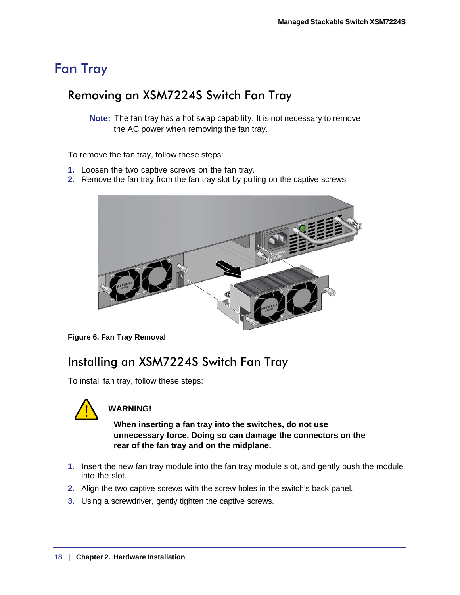# <span id="page-17-0"></span>Fan Tray

# Removing an XSM7224S Switch Fan Tray

**Note:** The fan tray has a hot swap capability. It is not necessary to remove the AC power when removing the fan tray.

To remove the fan tray, follow these steps:

- **1.** Loosen the two captive screws on the fan tray.
- **2.** Remove the fan tray from the fan tray slot by pulling on the captive screws.



**Figure 6. Fan Tray Removal**

# Installing an XSM7224S Switch Fan Tray

To install fan tray, follow these steps:



# **WARNING!**

**When inserting a fan tray into the switches, do not use unnecessary force. Doing so can damage the connectors on the rear of the fan tray and on the midplane.**

- **1.** Insert the new fan tray module into the fan tray module slot, and gently push the module into the slot.
- **2.** Align the two captive screws with the screw holes in the switch's back panel.
- **3.** Using a screwdriver, gently tighten the captive screws.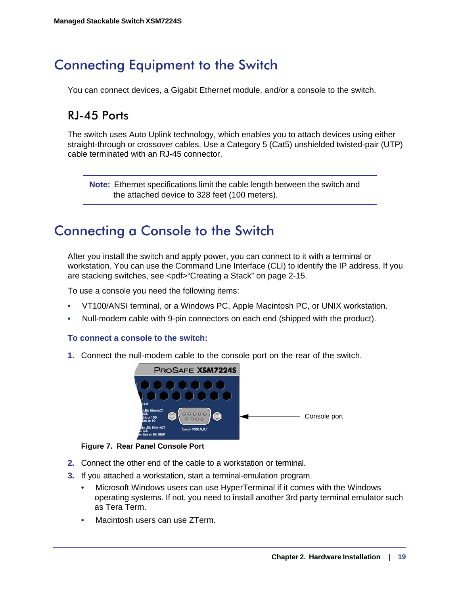# Connecting Equipment to the Switch

You can connect devices, a Gigabit Ethernet module, and/or a console to the switch.

# <span id="page-18-0"></span>RJ-45 Ports

The switch uses Auto Uplink technology, which enables you to attach devices using either straight-through or crossover cables. Use a Category 5 (Cat5) unshielded twisted-pair (UTP) cable terminated with an RJ-45 connector.

**Note:** Ethernet specifications limit the cable length between the switch and the attached device to 328 feet (100 meters).

# <span id="page-18-1"></span>Connecting a Console to the Switch

After you install the switch and apply power, you can connect to it with a terminal or workstation. You can use the Command Line Interface (CLI) to identify the IP address. If you are stacking switches, see [<pdf>"Creating a Stack" on page](#page-14-0) [2-15](#page-14-0).

To use a console you need the following items:

- VT100/ANSI terminal, or a Windows PC, Apple Macintosh PC, or UNIX workstation.
- Null-modem cable with 9-pin connectors on each end (shipped with the product).

#### **To connect a console to the switch:**

**1.** Connect the null-modem cable to the console port on the rear of the switch.



**Figure 7. Rear Panel Console Port**

- **2.** Connect the other end of the cable to a workstation or terminal.
- **3.** If you attached a workstation, start a terminal-emulation program.
	- Microsoft Windows users can use HyperTerminal if it comes with the Windows operating systems. If not, you need to install another 3rd party terminal emulator such as Tera Term.
	- Macintosh users can use ZTerm.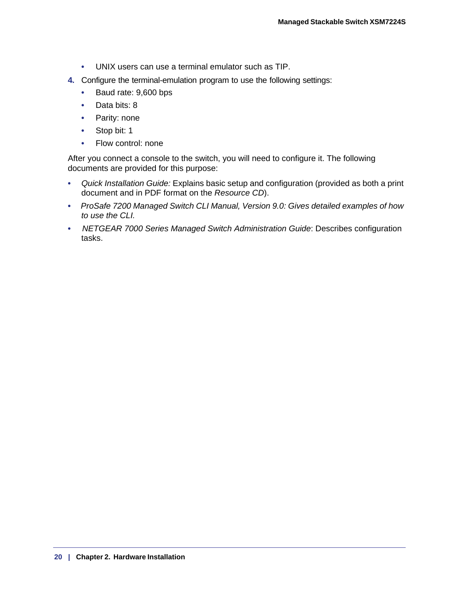- UNIX users can use a terminal emulator such as TIP.
- **4.** Configure the terminal-emulation program to use the following settings:
	- Baud rate: 9,600 bps
	- Data bits: 8
	- Parity: none
	- Stop bit: 1
	- Flow control: none

After you connect a console to the switch, you will need to configure it. The following documents are provided for this purpose:

- *Quick Installation Guide:* Explains basic setup and configuration (provided as both a print document and in PDF format on the *Resource CD*).
- *ProSafe 7200 Managed Switch CLI Manual, Version 9.0: Gives detailed examples of how to use the CLI.*
- *NETGEAR 7000 Series Managed Switch Administration Guide*: Describes configuration tasks.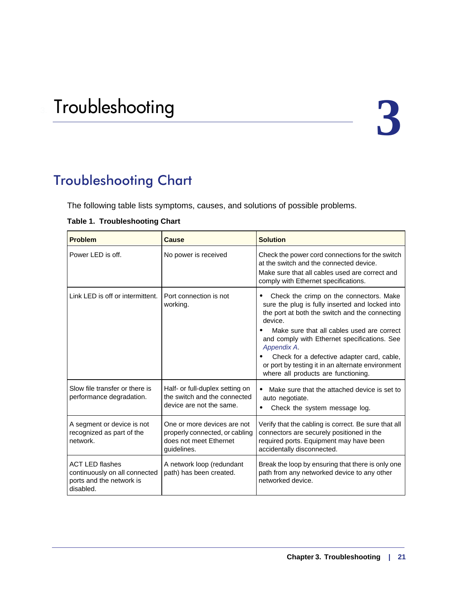# <span id="page-20-2"></span><span id="page-20-0"></span>Troubleshooting 3

# <span id="page-20-1"></span>Troubleshooting Chart

The following table lists symptoms, causes, and solutions of possible problems.

| <b>Problem</b>                                                                                   | <b>Cause</b>                                                                                           | <b>Solution</b>                                                                                                                                                                                                                                                                                                                                                                                                |
|--------------------------------------------------------------------------------------------------|--------------------------------------------------------------------------------------------------------|----------------------------------------------------------------------------------------------------------------------------------------------------------------------------------------------------------------------------------------------------------------------------------------------------------------------------------------------------------------------------------------------------------------|
| Power LED is off.                                                                                | No power is received                                                                                   | Check the power cord connections for the switch<br>at the switch and the connected device.<br>Make sure that all cables used are correct and<br>comply with Ethernet specifications.                                                                                                                                                                                                                           |
| Link LED is off or intermittent.                                                                 | Port connection is not<br>working.                                                                     | Check the crimp on the connectors. Make<br>sure the plug is fully inserted and locked into<br>the port at both the switch and the connecting<br>device.<br>Make sure that all cables used are correct<br>and comply with Ethernet specifications. See<br>Appendix A.<br>Check for a defective adapter card, cable,<br>or port by testing it in an alternate environment<br>where all products are functioning. |
| Slow file transfer or there is<br>performance degradation.                                       | Half- or full-duplex setting on<br>the switch and the connected<br>device are not the same.            | Make sure that the attached device is set to<br>auto negotiate.<br>Check the system message log.                                                                                                                                                                                                                                                                                                               |
| A segment or device is not<br>recognized as part of the<br>network.                              | One or more devices are not<br>properly connected, or cabling<br>does not meet Ethernet<br>guidelines. | Verify that the cabling is correct. Be sure that all<br>connectors are securely positioned in the<br>required ports. Equipment may have been<br>accidentally disconnected.                                                                                                                                                                                                                                     |
| <b>ACT LED flashes</b><br>continuously on all connected<br>ports and the network is<br>disabled. | A network loop (redundant<br>path) has been created.                                                   | Break the loop by ensuring that there is only one<br>path from any networked device to any other<br>networked device.                                                                                                                                                                                                                                                                                          |

#### <span id="page-20-3"></span>**Table 1. Troubleshooting Chart**

 $\overline{a}$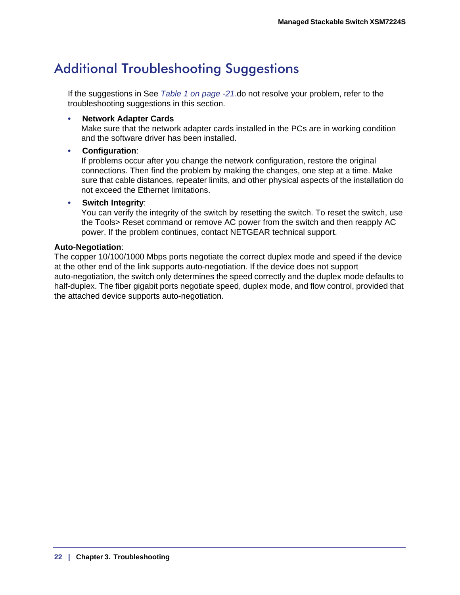# <span id="page-21-0"></span>Additional Troubleshooting Suggestions

If the suggestions in See *[Table 1 on page -21.](#page-20-3)*do not resolve your problem, refer to the troubleshooting suggestions in this section.

#### **• Network Adapter Cards**

Make sure that the network adapter cards installed in the PCs are in working condition and the software driver has been installed.

#### **• Configuration**:

If problems occur after you change the network configuration, restore the original connections. Then find the problem by making the changes, one step at a time. Make sure that cable distances, repeater limits, and other physical aspects of the installation do not exceed the Ethernet limitations.

#### **• Switch Integrity**:

You can verify the integrity of the switch by resetting the switch. To reset the switch, use the Tools> Reset command or remove AC power from the switch and then reapply AC power. If the problem continues, contact NETGEAR technical support.

#### **Auto-Negotiation**:

The copper 10/100/1000 Mbps ports negotiate the correct duplex mode and speed if the device at the other end of the link supports auto-negotiation. If the device does not support auto-negotiation, the switch only determines the speed correctly and the duplex mode defaults to half-duplex. The fiber gigabit ports negotiate speed, duplex mode, and flow control, provided that the attached device supports auto-negotiation.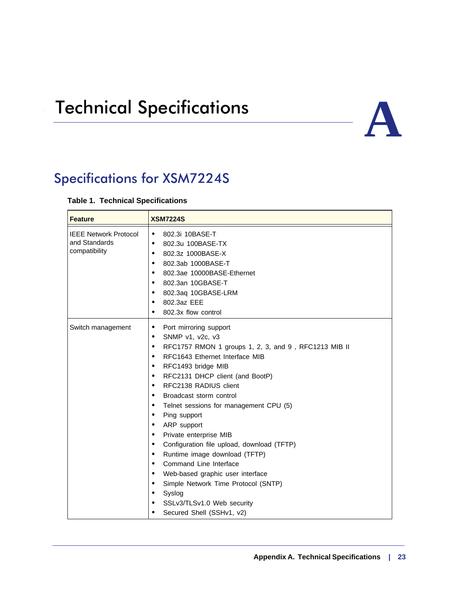# <span id="page-22-2"></span><span id="page-22-0"></span>**Technical Specifications**



# <span id="page-22-1"></span>Specifications for XSM7224S

#### **Table 1. Technical Specifications**

| <b>Feature</b>                                                 | <b>XSM7224S</b>                                                                                                                                                                                                                                                                                                                                                                                                                                                                                                                                                                                                                                                                                                                                                                                                                                              |  |
|----------------------------------------------------------------|--------------------------------------------------------------------------------------------------------------------------------------------------------------------------------------------------------------------------------------------------------------------------------------------------------------------------------------------------------------------------------------------------------------------------------------------------------------------------------------------------------------------------------------------------------------------------------------------------------------------------------------------------------------------------------------------------------------------------------------------------------------------------------------------------------------------------------------------------------------|--|
| <b>IEEE Network Protocol</b><br>and Standards<br>compatibility | 802.3i 10BASE-T<br>$\bullet$<br>802.3u 100BASE-TX<br>$\bullet$<br>802.3z 1000BASE-X<br>$\bullet$<br>802.3ab 1000BASE-T<br>$\bullet$<br>802.3ae 10000BASE-Ethernet<br>$\bullet$<br>802.3an 10GBASE-T<br>$\bullet$<br>802.3aq 10GBASE-LRM<br>$\bullet$<br>802.3az EEE<br>٠<br>802.3x flow control<br>$\bullet$                                                                                                                                                                                                                                                                                                                                                                                                                                                                                                                                                 |  |
| Switch management                                              | Port mirroring support<br>$\bullet$<br>SNMP v1, v2c, v3<br>$\bullet$<br>RFC1757 RMON 1 groups 1, 2, 3, and 9, RFC1213 MIB II<br>$\bullet$<br>RFC1643 Ethernet Interface MIB<br>$\bullet$<br>RFC1493 bridge MIB<br>$\bullet$<br>RFC2131 DHCP client (and BootP)<br>$\bullet$<br>RFC2138 RADIUS client<br>$\bullet$<br>Broadcast storm control<br>$\bullet$<br>Telnet sessions for management CPU (5)<br>$\bullet$<br>Ping support<br>$\bullet$<br>ARP support<br>$\bullet$<br>Private enterprise MIB<br>$\bullet$<br>Configuration file upload, download (TFTP)<br>$\bullet$<br>Runtime image download (TFTP)<br>$\bullet$<br>Command Line Interface<br>$\bullet$<br>Web-based graphic user interface<br>$\bullet$<br>Simple Network Time Protocol (SNTP)<br>$\bullet$<br>Syslog<br>$\bullet$<br>SSLv3/TLSv1.0 Web security<br>Secured Shell (SSHv1, v2)<br>٠ |  |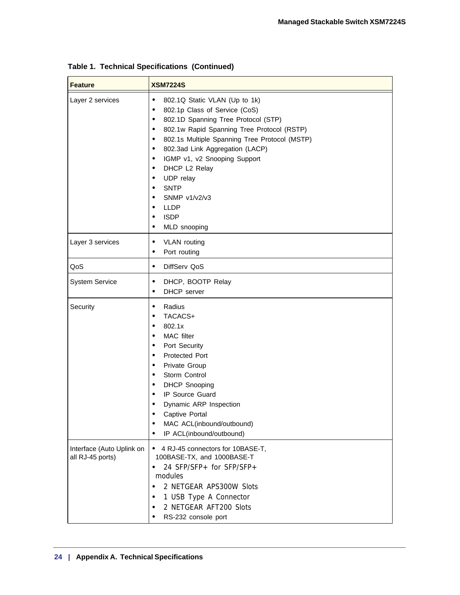| <b>Feature</b>                                | <b>XSM7224S</b>                                                                                                                                                                                                                                                                                                                                                                                                                                                                                                      |
|-----------------------------------------------|----------------------------------------------------------------------------------------------------------------------------------------------------------------------------------------------------------------------------------------------------------------------------------------------------------------------------------------------------------------------------------------------------------------------------------------------------------------------------------------------------------------------|
| Layer 2 services                              | 802.1Q Static VLAN (Up to 1k)<br>$\bullet$<br>802.1p Class of Service (CoS)<br>$\bullet$<br>802.1D Spanning Tree Protocol (STP)<br>$\bullet$<br>802.1w Rapid Spanning Tree Protocol (RSTP)<br>$\bullet$<br>802.1s Multiple Spanning Tree Protocol (MSTP)<br>$\bullet$<br>802.3ad Link Aggregation (LACP)<br>٠<br>IGMP v1, v2 Snooping Support<br>٠<br>DHCP L2 Relay<br>$\bullet$<br>UDP relay<br>$\bullet$<br><b>SNTP</b><br>$\bullet$<br>SNMP $v1/v2/v3$<br><b>LLDP</b><br><b>ISDP</b><br>MLD snooping<br>$\bullet$ |
| Layer 3 services                              | <b>VLAN</b> routing<br>٠<br>Port routing                                                                                                                                                                                                                                                                                                                                                                                                                                                                             |
| QoS                                           | DiffServ QoS<br>$\bullet$                                                                                                                                                                                                                                                                                                                                                                                                                                                                                            |
| <b>System Service</b>                         | DHCP, BOOTP Relay<br>$\bullet$<br>DHCP server<br>$\bullet$                                                                                                                                                                                                                                                                                                                                                                                                                                                           |
| Security                                      | Radius<br>$\bullet$<br>TACACS+<br>802.1x<br>$\bullet$<br>MAC filter<br>$\bullet$<br>Port Security<br>$\bullet$<br>Protected Port<br>$\bullet$<br>Private Group<br>٠<br>Storm Control<br>$\bullet$<br><b>DHCP Snooping</b><br>$\bullet$<br>IP Source Guard<br>$\bullet$<br>Dynamic ARP Inspection<br>$\bullet$<br>Captive Portal<br>MAC ACL(inbound/outbound)<br>IP ACL(inbound/outbound)                                                                                                                             |
| Interface (Auto Uplink on<br>all RJ-45 ports) | 4 RJ-45 connectors for 10BASE-T,<br>$\bullet$<br>100BASE-TX, and 1000BASE-T<br>24 SFP/SFP+ for SFP/SFP+<br>$\bullet$<br>modules<br>2 NETGEAR APS300W Slots<br>1 USB Type A Connector<br>2 NETGEAR AFT200 Slots<br>$\bullet$<br>RS-232 console port                                                                                                                                                                                                                                                                   |

**Table 1. Technical Specifications (Continued)**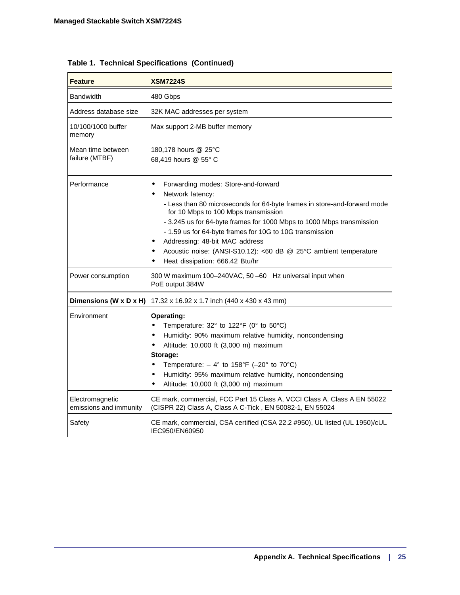| <b>Feature</b>                            | <b>XSM7224S</b>                                                                                                                                                                                                                                                                                                                                                                                                                                                                                       |
|-------------------------------------------|-------------------------------------------------------------------------------------------------------------------------------------------------------------------------------------------------------------------------------------------------------------------------------------------------------------------------------------------------------------------------------------------------------------------------------------------------------------------------------------------------------|
| <b>Bandwidth</b>                          | 480 Gbps                                                                                                                                                                                                                                                                                                                                                                                                                                                                                              |
| Address database size                     | 32K MAC addresses per system                                                                                                                                                                                                                                                                                                                                                                                                                                                                          |
| 10/100/1000 buffer<br>memory              | Max support 2-MB buffer memory                                                                                                                                                                                                                                                                                                                                                                                                                                                                        |
| Mean time between<br>failure (MTBF)       | 180,178 hours @ 25°C<br>68,419 hours @ 55° C                                                                                                                                                                                                                                                                                                                                                                                                                                                          |
| Performance                               | Forwarding modes: Store-and-forward<br>٠<br>Network latency:<br>- Less than 80 microseconds for 64-byte frames in store-and-forward mode<br>for 10 Mbps to 100 Mbps transmission<br>- 3.245 us for 64-byte frames for 1000 Mbps to 1000 Mbps transmission<br>- 1.59 us for 64-byte frames for 10G to 10G transmission<br>Addressing: 48-bit MAC address<br>$\bullet$<br>Acoustic noise: (ANSI-S10.12): <60 dB @ 25°C ambient temperature<br>$\bullet$<br>Heat dissipation: 666.42 Btu/hr<br>$\bullet$ |
| Power consumption                         | 300 W maximum 100-240VAC, 50-60 Hz universal input when<br>PoE output 384W                                                                                                                                                                                                                                                                                                                                                                                                                            |
| Dimensions (W x D x H)                    | 17.32 x 16.92 x 1.7 inch (440 x 430 x 43 mm)                                                                                                                                                                                                                                                                                                                                                                                                                                                          |
| Environment                               | Operating:<br>Temperature: 32° to 122°F (0° to 50°C)<br>$\bullet$<br>Humidity: 90% maximum relative humidity, noncondensing<br>$\bullet$<br>Altitude: 10,000 ft (3,000 m) maximum<br>$\bullet$<br>Storage:<br>Temperature: $-4^{\circ}$ to 158°F (-20° to 70°C)<br>$\bullet$<br>Humidity: 95% maximum relative humidity, noncondensing<br>$\bullet$<br>Altitude: 10,000 ft (3,000 m) maximum<br>$\bullet$                                                                                             |
| Electromagnetic<br>emissions and immunity | CE mark, commercial, FCC Part 15 Class A, VCCI Class A, Class A EN 55022<br>(CISPR 22) Class A, Class A C-Tick, EN 50082-1, EN 55024                                                                                                                                                                                                                                                                                                                                                                  |
| Safety                                    | CE mark, commercial, CSA certified (CSA 22.2 #950), UL listed (UL 1950)/cUL<br>IEC950/EN60950                                                                                                                                                                                                                                                                                                                                                                                                         |

**Table 1. Technical Specifications (Continued)**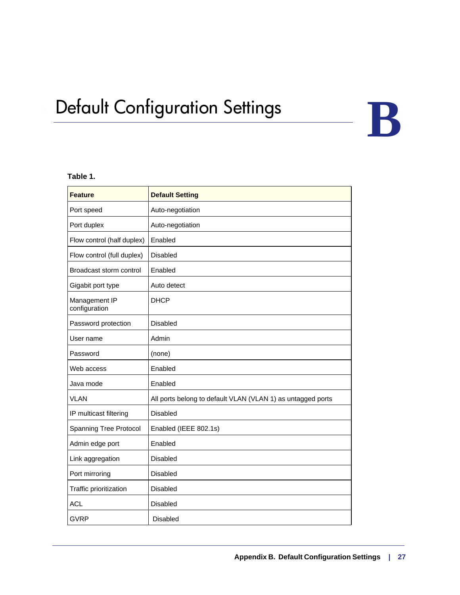# <span id="page-26-0"></span>**Default Configuration Settings**

#### **Table 1.**

| <b>Feature</b>                 | <b>Default Setting</b>                                      |
|--------------------------------|-------------------------------------------------------------|
| Port speed                     | Auto-negotiation                                            |
| Port duplex                    | Auto-negotiation                                            |
| Flow control (half duplex)     | Enabled                                                     |
| Flow control (full duplex)     | <b>Disabled</b>                                             |
| Broadcast storm control        | Enabled                                                     |
| Gigabit port type              | Auto detect                                                 |
| Management IP<br>configuration | <b>DHCP</b>                                                 |
| Password protection            | <b>Disabled</b>                                             |
| User name                      | Admin                                                       |
| Password                       | (none)                                                      |
| Web access                     | Enabled                                                     |
| Java mode                      | Enabled                                                     |
| <b>VLAN</b>                    | All ports belong to default VLAN (VLAN 1) as untagged ports |
| IP multicast filtering         | <b>Disabled</b>                                             |
| Spanning Tree Protocol         | Enabled (IEEE 802.1s)                                       |
| Admin edge port                | Enabled                                                     |
| Link aggregation               | <b>Disabled</b>                                             |
| Port mirroring                 | <b>Disabled</b>                                             |
| Traffic prioritization         | Disabled                                                    |
| <b>ACL</b>                     | <b>Disabled</b>                                             |
| <b>GVRP</b>                    | <b>Disabled</b>                                             |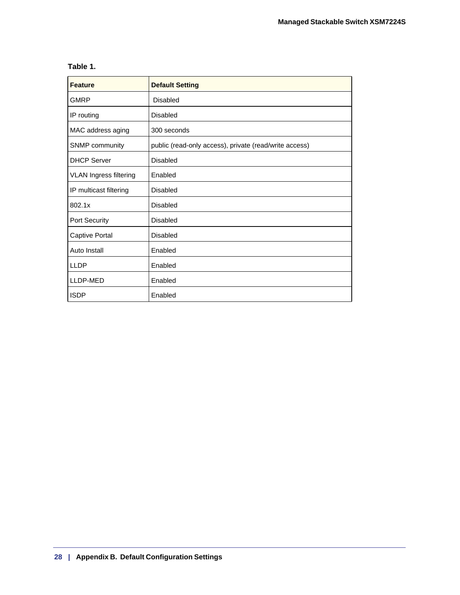#### **Table 1.**

| <b>Feature</b>                | <b>Default Setting</b>                                 |
|-------------------------------|--------------------------------------------------------|
| <b>GMRP</b>                   | Disabled                                               |
| IP routing                    | <b>Disabled</b>                                        |
| MAC address aging             | 300 seconds                                            |
| SNMP community                | public (read-only access), private (read/write access) |
| <b>DHCP Server</b>            | Disabled                                               |
| <b>VLAN Ingress filtering</b> | Enabled                                                |
| IP multicast filtering        | Disabled                                               |
| 802.1x                        | Disabled                                               |
| Port Security                 | Disabled                                               |
| Captive Portal                | <b>Disabled</b>                                        |
| Auto Install                  | Enabled                                                |
| <b>LLDP</b>                   | Enabled                                                |
| LLDP-MED                      | Enabled                                                |
| <b>ISDP</b>                   | Enabled                                                |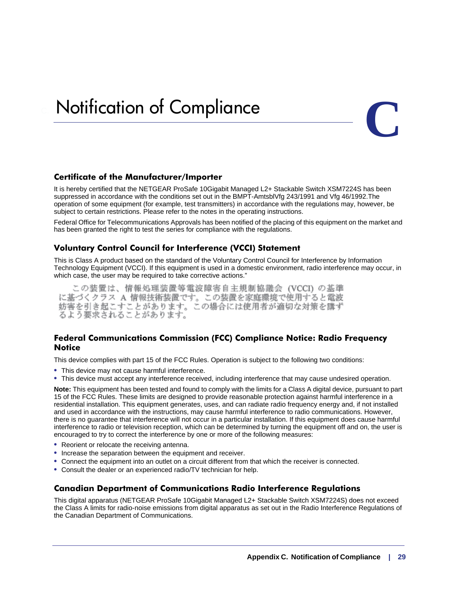# <span id="page-28-0"></span>**Notification of Compliance**



#### **Certificate of the Manufacturer/Importer**

It is hereby certified that the NETGEAR ProSafe 10Gigabit Managed L2+ Stackable Switch XSM7224S has been suppressed in accordance with the conditions set out in the BMPT-AmtsblVfg 243/1991 and Vfg 46/1992.The operation of some equipment (for example, test transmitters) in accordance with the regulations may, however, be subject to certain restrictions. Please refer to the notes in the operating instructions.

Federal Office for Telecommunications Approvals has been notified of the placing of this equipment on the market and has been granted the right to test the series for compliance with the regulations.

#### **Voluntary Control Council for Interference (VCCI) Statement**

This is Class A product based on the standard of the Voluntary Control Council for Interference by Information Technology Equipment (VCCI). If this equipment is used in a domestic environment, radio interference may occur, in which case, the user may be required to take corrective actions."

この装置は、情報処理装置等電波障害自主規制協議会 (VCCI) の基準 に基づくクラス A 情報技術装置です。この装置を家庭環境で使用すると電波 妨害を引き起こすことがあります。この場合には使用者が適切な対策を講ず るよう要求されることがあります。

#### **Federal Communications Commission (FCC) Compliance Notice: Radio Frequency Notice**

This device complies with part 15 of the FCC Rules. Operation is subject to the following two conditions:

- This device may not cause harmful interference.
- This device must accept any interference received, including interference that may cause undesired operation.

**Note:** This equipment has been tested and found to comply with the limits for a Class A digital device, pursuant to part 15 of the FCC Rules. These limits are designed to provide reasonable protection against harmful interference in a residential installation. This equipment generates, uses, and can radiate radio frequency energy and, if not installed and used in accordance with the instructions, may cause harmful interference to radio communications. However, there is no guarantee that interference will not occur in a particular installation. If this equipment does cause harmful interference to radio or television reception, which can be determined by turning the equipment off and on, the user is encouraged to try to correct the interference by one or more of the following measures:

- Reorient or relocate the receiving antenna.
- Increase the separation between the equipment and receiver.
- Connect the equipment into an outlet on a circuit different from that which the receiver is connected.
- Consult the dealer or an experienced radio/TV technician for help.

#### **Canadian Department of Communications Radio Interference Regulations**

This digital apparatus (NETGEAR ProSafe 10Gigabit Managed L2+ Stackable Switch XSM7224S) does not exceed the Class A limits for radio-noise emissions from digital apparatus as set out in the Radio Interference Regulations of the Canadian Department of Communications.